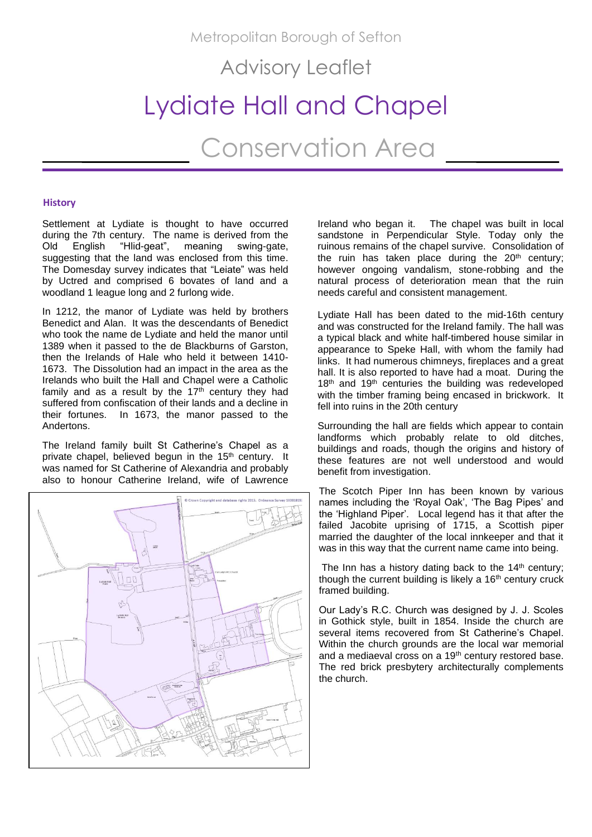Metropolitan Borough of Sefton

Advisory Leaflet

# Lydiate Hall and Chapel

Conservation Area

## **History**

Settlement at Lydiate is thought to have occurred during the 7th century. The name is derived from the Old English "Hlid-geat", meaning swing-gate, suggesting that the land was enclosed from this time. The Domesday survey indicates that "Leiate" was held by Uctred and comprised 6 bovates of land and a woodland 1 league long and 2 furlong wide.

In 1212, the manor of Lydiate was held by brothers Benedict and Alan. It was the descendants of Benedict who took the name de Lydiate and held the manor until 1389 when it passed to the de Blackburns of Garston, then the Irelands of Hale who held it between 1410- 1673. The Dissolution had an impact in the area as the Irelands who built the Hall and Chapel were a Catholic family and as a result by the  $17<sup>th</sup>$  century they had suffered from confiscation of their lands and a decline in<br>their fortunes. In 1673, the manor passed to the In 1673, the manor passed to the Andertons.

The Ireland family built St Catherine's Chapel as a private chapel, believed begun in the 15<sup>th</sup> century. It was named for St Catherine of Alexandria and probably also to honour Catherine Ireland, wife of Lawrence



Ireland who began it. The chapel was built in local sandstone in Perpendicular Style. Today only the ruinous remains of the chapel survive. Consolidation of the ruin has taken place during the  $20<sup>th</sup>$  century; however ongoing vandalism, stone-robbing and the natural process of deterioration mean that the ruin needs careful and consistent management.

Lydiate Hall has been dated to the mid-16th century and was constructed for the Ireland family. The hall was a typical black and white half-timbered house similar in appearance to Speke Hall, with whom the family had links. It had numerous chimneys, fireplaces and a great hall. It is also reported to have had a moat. During the 18<sup>th</sup> and 19<sup>th</sup> centuries the building was redeveloped with the timber framing being encased in brickwork. It fell into ruins in the 20th century

Surrounding the hall are fields which appear to contain landforms which probably relate to old ditches, buildings and roads, though the origins and history of these features are not well understood and would benefit from investigation.

The Scotch Piper Inn has been known by various names including the 'Royal Oak', 'The Bag Pipes' and the 'Highland Piper'. Local legend has it that after the failed Jacobite uprising of 1715, a Scottish piper married the daughter of the local innkeeper and that it was in this way that the current name came into being.

The Inn has a history dating back to the  $14<sup>th</sup>$  century; though the current building is likely a 16<sup>th</sup> century cruck framed building.

Our Lady's R.C. Church was designed by J. J. Scoles in Gothick style, built in 1854. Inside the church are several items recovered from St Catherine's Chapel. Within the church grounds are the local war memorial and a mediaeval cross on a 19<sup>th</sup> century restored base. The red brick presbytery architecturally complements the church.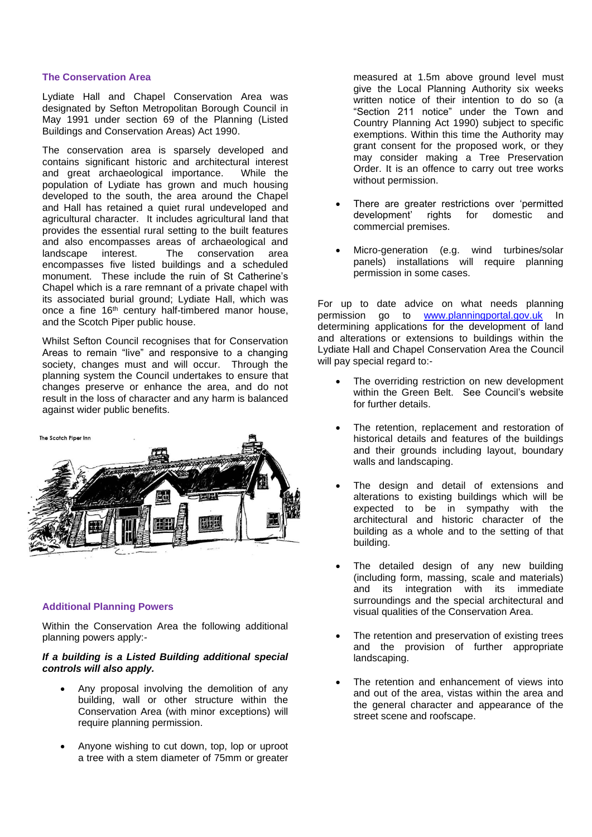## **The Conservation Area**

Lydiate Hall and Chapel Conservation Area was designated by Sefton Metropolitan Borough Council in May 1991 under section 69 of the Planning (Listed Buildings and Conservation Areas) Act 1990.

The conservation area is sparsely developed and contains significant historic and architectural interest and great archaeological importance. While the population of Lydiate has grown and much housing developed to the south, the area around the Chapel and Hall has retained a quiet rural undeveloped and agricultural character. It includes agricultural land that provides the essential rural setting to the built features and also encompasses areas of archaeological and landscape interest. The conservation area encompasses five listed buildings and a scheduled monument. These include the ruin of St Catherine's Chapel which is a rare remnant of a private chapel with its associated burial ground; Lydiate Hall, which was once a fine 16<sup>th</sup> century half-timbered manor house. and the Scotch Piper public house.

Whilst Sefton Council recognises that for Conservation Areas to remain "live" and responsive to a changing society, changes must and will occur. Through the planning system the Council undertakes to ensure that changes preserve or enhance the area, and do not result in the loss of character and any harm is balanced against wider public benefits.



## **Additional Planning Powers**

Within the Conservation Area the following additional planning powers apply:-

# *If a building is a Listed Building additional special controls will also apply.*

- Any proposal involving the demolition of any building, wall or other structure within the Conservation Area (with minor exceptions) will require planning permission.
- Anyone wishing to cut down, top, lop or uproot a tree with a stem diameter of 75mm or greater

measured at 1.5m above ground level must give the Local Planning Authority six weeks written notice of their intention to do so (a "Section 211 notice" under the Town and Country Planning Act 1990) subject to specific exemptions. Within this time the Authority may grant consent for the proposed work, or they may consider making a Tree Preservation Order. It is an offence to carry out tree works without permission.

- There are greater restrictions over 'permitted development' rights for domestic and commercial premises.
- Micro-generation (e.g. wind turbines/solar panels) installations will require planning permission in some cases.

For up to date advice on what needs planning permission go to [www.planningportal.gov.uk](http://www.planningportal.gov.uk/) In determining applications for the development of land and alterations or extensions to buildings within the Lydiate Hall and Chapel Conservation Area the Council will pay special regard to:-

- The overriding restriction on new development within the Green Belt. See Council's website for further details.
- The retention, replacement and restoration of historical details and features of the buildings and their grounds including layout, boundary walls and landscaping.
- The design and detail of extensions and alterations to existing buildings which will be expected to be in sympathy with the architectural and historic character of the building as a whole and to the setting of that building.
- The detailed design of any new building (including form, massing, scale and materials) and its integration with its immediate surroundings and the special architectural and visual qualities of the Conservation Area.
- The retention and preservation of existing trees and the provision of further appropriate landscaping.
- The retention and enhancement of views into and out of the area, vistas within the area and the general character and appearance of the street scene and roofscape.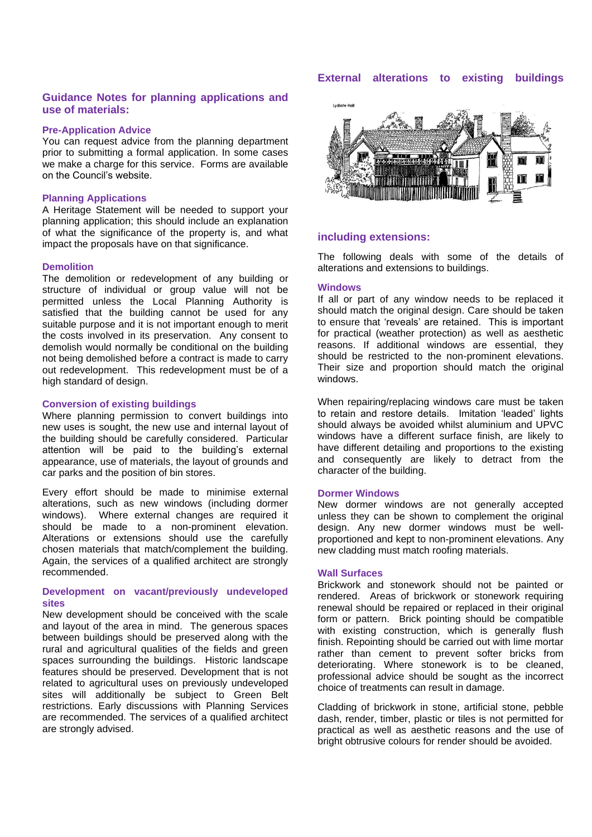# **External alterations to existing buildings**

# **Guidance Notes for planning applications and use of materials:**

## **Pre-Application Advice**

You can request advice from the planning department prior to submitting a formal application. In some cases we make a charge for this service. Forms are available on the Council's website.

#### **Planning Applications**

A Heritage Statement will be needed to support your planning application; this should include an explanation of what the significance of the property is, and what impact the proposals have on that significance.

#### **Demolition**

The demolition or redevelopment of any building or structure of individual or group value will not be permitted unless the Local Planning Authority is satisfied that the building cannot be used for any suitable purpose and it is not important enough to merit the costs involved in its preservation. Any consent to demolish would normally be conditional on the building not being demolished before a contract is made to carry out redevelopment. This redevelopment must be of a high standard of design.

#### **Conversion of existing buildings**

Where planning permission to convert buildings into new uses is sought, the new use and internal layout of the building should be carefully considered. Particular attention will be paid to the building's external appearance, use of materials, the layout of grounds and car parks and the position of bin stores.

Every effort should be made to minimise external alterations, such as new windows (including dormer windows). Where external changes are required it should be made to a non-prominent elevation. Alterations or extensions should use the carefully chosen materials that match/complement the building. Again, the services of a qualified architect are strongly recommended.

## **Development on vacant/previously undeveloped sites**

New development should be conceived with the scale and layout of the area in mind. The generous spaces between buildings should be preserved along with the rural and agricultural qualities of the fields and green spaces surrounding the buildings. Historic landscape features should be preserved. Development that is not related to agricultural uses on previously undeveloped sites will additionally be subject to Green Belt restrictions. Early discussions with Planning Services are recommended. The services of a qualified architect are strongly advised.



# **including extensions:**

The following deals with some of the details of alterations and extensions to buildings.

#### **Windows**

If all or part of any window needs to be replaced it should match the original design. Care should be taken to ensure that 'reveals' are retained. This is important for practical (weather protection) as well as aesthetic reasons. If additional windows are essential, they should be restricted to the non-prominent elevations. Their size and proportion should match the original windows.

When repairing/replacing windows care must be taken to retain and restore details. Imitation 'leaded' lights should always be avoided whilst aluminium and UPVC windows have a different surface finish, are likely to have different detailing and proportions to the existing and consequently are likely to detract from the character of the building.

#### **Dormer Windows**

New dormer windows are not generally accepted unless they can be shown to complement the original design. Any new dormer windows must be wellproportioned and kept to non-prominent elevations. Any new cladding must match roofing materials.

## **Wall Surfaces**

Brickwork and stonework should not be painted or rendered. Areas of brickwork or stonework requiring renewal should be repaired or replaced in their original form or pattern. Brick pointing should be compatible with existing construction, which is generally flush finish. Repointing should be carried out with lime mortar rather than cement to prevent softer bricks from deteriorating. Where stonework is to be cleaned, professional advice should be sought as the incorrect choice of treatments can result in damage.

Cladding of brickwork in stone, artificial stone, pebble dash, render, timber, plastic or tiles is not permitted for practical as well as aesthetic reasons and the use of bright obtrusive colours for render should be avoided.